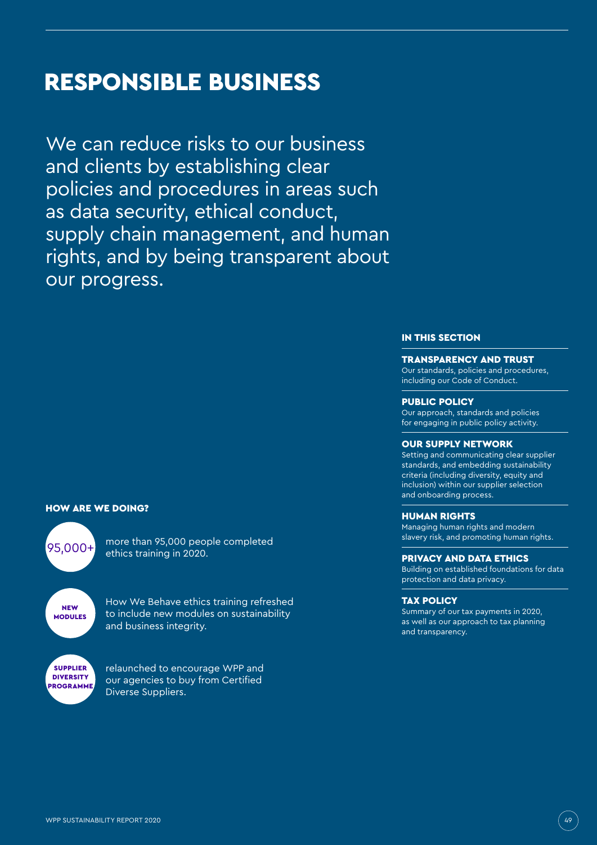# RESPONSIBLE BUSINESS

We can reduce risks to our business and clients by establishing clear policies and procedures in areas such as data security, ethical conduct, supply chain management, and human rights, and by being transparent about our progress.

#### HOW ARE WE DOING?

**NEW MODULES** SUPPLIER **DIVERSITY** PROGRAMME

 $\sqrt{95.000+}$  more than 95,000 people completed ethics training in 2020.

> How We Behave ethics training refreshed to include new modules on sustainability and business integrity.

relaunched to encourage WPP and our agencies to buy from Certified Diverse Suppliers.

### IN THIS SECTION

#### TRANSPARENCY AND TRUST

Our standards, policies and procedures, including our Code of Conduct.

#### PUBLIC POLICY

Our approach, standards and policies for engaging in public policy activity.

#### OUR SUPPLY NETWORK

Setting and communicating clear supplier standards, and embedding sustainability criteria (including diversity, equity and inclusion) within our supplier selection and onboarding process.

#### HUMAN RIGHTS

Managing human rights and modern slavery risk, and promoting human rights.

#### PRIVACY AND DATA ETHICS

Building on established foundations for data protection and data privacy.

#### TAX POLICY

Summary of our tax payments in 2020, as well as our approach to tax planning and transparency.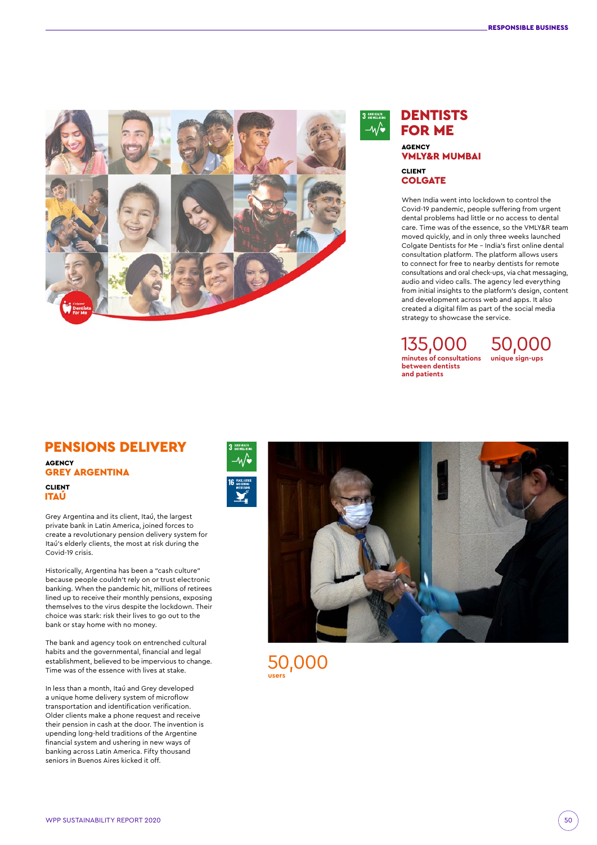



### **DENTISTS**  FOR ME AGENCY VMLY&R MUMBAI CLIENT **COLGATE**

When India went into lockdown to control the Covid-19 pandemic, people suffering from urgent dental problems had little or no access to dental care. Time was of the essence, so the VMLY&R team moved quickly, and in only three weeks launched Colgate Dentists for Me – India's first online dental consultation platform. The platform allows users to connect for free to nearby dentists for remote consultations and oral check-ups, via chat messaging, audio and video calls. The agency led everything from initial insights to the platform's design, content and development across web and apps. It also created a digital film as part of the social media strategy to showcase the service.

 135,000 **minutes of consultations**  50,000 **unique sign-ups between dentists and patients**

### PENSIONS DELIVERY **AGENCY**

GREY ARGENTINA

CLIENT ITAÚ

Grey Argentina and its client, Itaú, the largest private bank in Latin America, joined forces to create a revolutionary pension delivery system for Itaú's elderly clients, the most at risk during the Covid-19 crisis.

Historically, Argentina has been a "cash culture" because people couldn't rely on or trust electronic banking. When the pandemic hit, millions of retirees lined up to receive their monthly pensions, exposing themselves to the virus despite the lockdown. Their choice was stark: risk their lives to go out to the bank or stay home with no money.

The bank and agency took on entrenched cultural habits and the governmental, financial and legal establishment, believed to be impervious to change. Time was of the essence with lives at stake.

In less than a month, Itaú and Grey developed a unique home delivery system of microflow transportation and identification verification. Older clients make a phone request and receive their pension in cash at the door. The invention is upending long-held traditions of the Argentine financial system and ushering in new ways of banking across Latin America. Fifty thousand seniors in Buenos Aires kicked it off.



50,000 **users**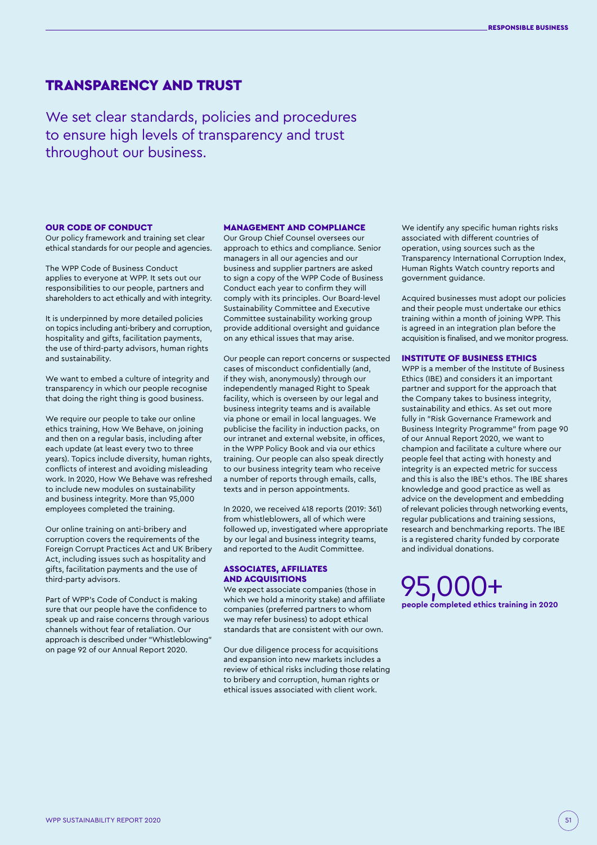### TRANSPARENCY AND TRUST

We set clear standards, policies and procedures to ensure high levels of transparency and trust throughout our business.

#### OUR CODE OF CONDUCT

Our policy framework and training set clear ethical standards for our people and agencies.

The WPP Code of Business Conduct applies to everyone at WPP. It sets out our responsibilities to our people, partners and shareholders to act ethically and with integrity.

It is underpinned by more detailed policies on topics including anti-bribery and corruption, hospitality and gifts, facilitation payments, the use of third-party advisors, human rights and sustainability.

We want to embed a culture of integrity and transparency in which our people recognise that doing the right thing is good business.

We require our people to take our online ethics training, How We Behave, on joining and then on a regular basis, including after each update (at least every two to three years). Topics include diversity, human rights, conflicts of interest and avoiding misleading work. In 2020, How We Behave was refreshed to include new modules on sustainability and business integrity. More than 95,000 employees completed the training.

Our online training on anti-bribery and corruption covers the requirements of the Foreign Corrupt Practices Act and UK Bribery Act, including issues such as hospitality and gifts, facilitation payments and the use of third-party advisors.

Part of WPP's Code of Conduct is making sure that our people have the confidence to speak up and raise concerns through various channels without fear of retaliation. Our approach is described under "Whistleblowing" on page 92 of our Annual Report 2020.

#### MANAGEMENT AND COMPLIANCE

Our Group Chief Counsel oversees our approach to ethics and compliance. Senior managers in all our agencies and our business and supplier partners are asked to sign a copy of the WPP Code of Business Conduct each year to confirm they will comply with its principles. Our Board-level Sustainability Committee and Executive Committee sustainability working group provide additional oversight and guidance on any ethical issues that may arise.

Our people can report concerns or suspected cases of misconduct confidentially (and, if they wish, anonymously) through our independently managed Right to Speak facility, which is overseen by our legal and business integrity teams and is available via phone or email in local languages. We publicise the facility in induction packs, on our intranet and external website, in offices, in the WPP Policy Book and via our ethics training. Our people can also speak directly to our business integrity team who receive a number of reports through emails, calls, texts and in person appointments.

In 2020, we received 418 reports (2019: 361) from whistleblowers, all of which were followed up, investigated where appropriate by our legal and business integrity teams, and reported to the Audit Committee.

#### ASSOCIATES, AFFILIATES AND ACQUISITIONS

We expect associate companies (those in which we hold a minority stake) and affiliate companies (preferred partners to whom we may refer business) to adopt ethical standards that are consistent with our own.

Our due diligence process for acquisitions and expansion into new markets includes a review of ethical risks including those relating to bribery and corruption, human rights or ethical issues associated with client work.

We identify any specific human rights risks associated with different countries of operation, using sources such as the Transparency International Corruption Index, Human Rights Watch country reports and government guidance.

Acquired businesses must adopt our policies and their people must undertake our ethics training within a month of joining WPP. This is agreed in an integration plan before the acquisition is finalised, and we monitor progress.

#### INSTITUTE OF BUSINESS ETHICS

WPP is a member of the Institute of Business Ethics (IBE) and considers it an important partner and support for the approach that the Company takes to business integrity, sustainability and ethics. As set out more fully in "Risk Governance Framework and Business Integrity Programme" from page 90 of our Annual Report 2020, we want to champion and facilitate a culture where our people feel that acting with honesty and integrity is an expected metric for success and this is also the IBE's ethos. The IBE shares knowledge and good practice as well as advice on the development and embedding of relevant policies through networking events, regular publications and training sessions, research and benchmarking reports. The IBE is a registered charity funded by corporate and individual donations.

 95,000+ **people completed ethics training in 2020**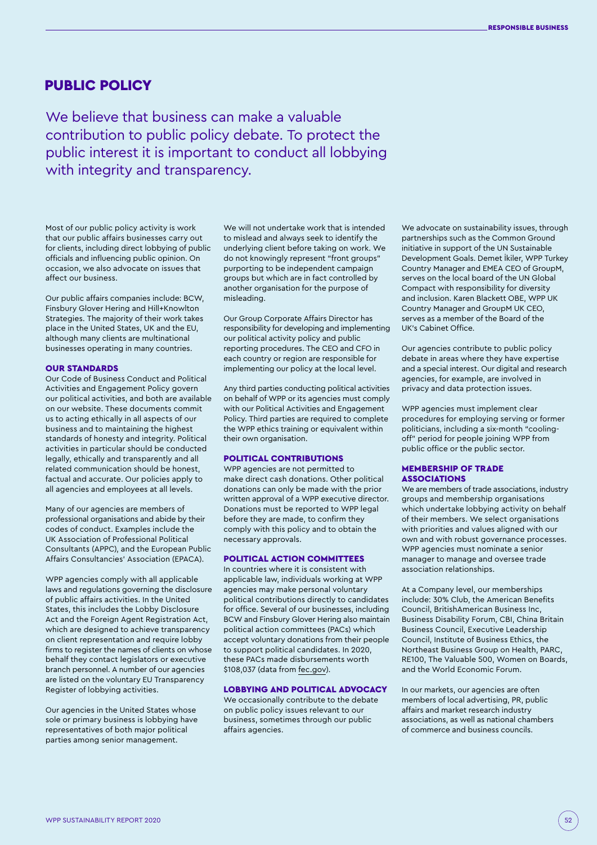### PUBLIC POLICY

We believe that business can make a valuable contribution to public policy debate. To protect the public interest it is important to conduct all lobbying with integrity and transparency.

Most of our public policy activity is work that our public affairs businesses carry out for clients, including direct lobbying of public officials and influencing public opinion. On occasion, we also advocate on issues that affect our business.

Our public affairs companies include: BCW, Finsbury Glover Hering and Hill+Knowlton Strategies. The majority of their work takes place in the United States, UK and the EU, although many clients are multinational businesses operating in many countries.

#### OUR STANDARDS

Our Code of Business Conduct and Political Activities and Engagement Policy govern our political activities, and both are available on our website. These documents commit us to acting ethically in all aspects of our business and to maintaining the highest standards of honesty and integrity. Political activities in particular should be conducted legally, ethically and transparently and all related communication should be honest, factual and accurate. Our policies apply to all agencies and employees at all levels.

Many of our agencies are members of professional organisations and abide by their codes of conduct. Examples include the UK Association of Professional Political Consultants (APPC), and the European Public Affairs Consultancies' Association (EPACA).

WPP agencies comply with all applicable laws and regulations governing the disclosure of public affairs activities. In the United States, this includes the Lobby Disclosure Act and the Foreign Agent Registration Act, which are designed to achieve transparency on client representation and require lobby firms to register the names of clients on whose behalf they contact legislators or executive branch personnel. A number of our agencies are listed on the voluntary EU Transparency Register of lobbying activities.

Our agencies in the United States whose sole or primary business is lobbying have representatives of both major political parties among senior management.

We will not undertake work that is intended to mislead and always seek to identify the underlying client before taking on work. We do not knowingly represent "front groups" purporting to be independent campaign groups but which are in fact controlled by another organisation for the purpose of misleading.

Our Group Corporate Affairs Director has responsibility for developing and implementing our political activity policy and public reporting procedures. The CEO and CFO in each country or region are responsible for implementing our policy at the local level.

Any third parties conducting political activities on behalf of WPP or its agencies must comply with our Political Activities and Engagement Policy. Third parties are required to complete the WPP ethics training or equivalent within their own organisation.

#### POLITICAL CONTRIBUTIONS

WPP agencies are not permitted to make direct cash donations. Other political donations can only be made with the prior written approval of a WPP executive director. Donations must be reported to WPP legal before they are made, to confirm they comply with this policy and to obtain the necessary approvals.

#### POLITICAL ACTION COMMITTEES

In countries where it is consistent with applicable law, individuals working at WPP agencies may make personal voluntary political contributions directly to candidates for office. Several of our businesses, including BCW and Finsbury Glover Hering also maintain political action committees (PACs) which accept voluntary donations from their people to support political candidates. In 2020, these PACs made disbursements worth \$108,037 (data from [fec.gov](https://www.fec.gov/)).

#### LOBBYING AND POLITICAL ADVOCACY

We occasionally contribute to the debate on public policy issues relevant to our business, sometimes through our public affairs agencies.

We advocate on sustainability issues, through partnerships such as the Common Ground initiative in support of the UN Sustainable Development Goals. Demet İkiler, WPP Turkey Country Manager and EMEA CEO of GroupM, serves on the local board of the UN Global Compact with responsibility for diversity and inclusion. Karen Blackett OBE, WPP UK Country Manager and GroupM UK CEO, serves as a member of the Board of the UK's Cabinet Office.

Our agencies contribute to public policy debate in areas where they have expertise and a special interest. Our digital and research agencies, for example, are involved in privacy and data protection issues.

WPP agencies must implement clear procedures for employing serving or former politicians, including a six-month "coolingoff" period for people joining WPP from public office or the public sector.

#### MEMBERSHIP OF TRADE ASSOCIATIONS

We are members of trade associations, industry groups and membership organisations which undertake lobbying activity on behalf of their members. We select organisations with priorities and values aligned with our own and with robust governance processes. WPP agencies must nominate a senior manager to manage and oversee trade association relationships.

At a Company level, our memberships include: 30% Club, the American Benefits Council, BritishAmerican Business Inc, Business Disability Forum, CBI, China Britain Business Council, Executive Leadership Council, Institute of Business Ethics, the Northeast Business Group on Health, PARC, RE100, The Valuable 500, Women on Boards, and the World Economic Forum.

In our markets, our agencies are often members of local advertising, PR, public affairs and market research industry associations, as well as national chambers of commerce and business councils.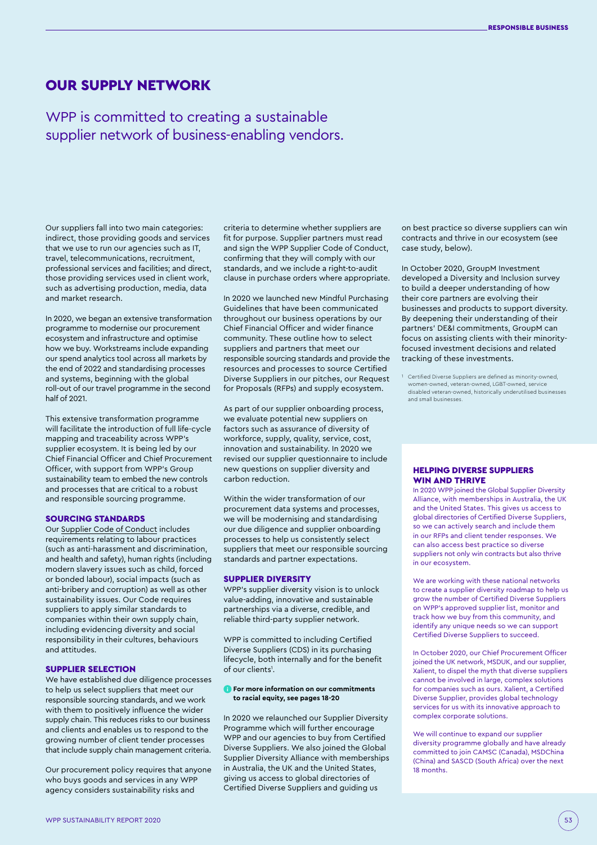### OUR SUPPLY NETWORK

WPP is committed to creating a sustainable supplier network of business-enabling vendors.

Our suppliers fall into two main categories: indirect, those providing goods and services that we use to run our agencies such as IT, travel, telecommunications, recruitment, professional services and facilities; and direct, those providing services used in client work, such as advertising production, media, data and market research.

In 2020, we began an extensive transformation programme to modernise our procurement ecosystem and infrastructure and optimise how we buy. Workstreams include expanding our spend analytics tool across all markets by the end of 2022 and standardising processes and systems, beginning with the global roll-out of our travel programme in the second half of 2021.

This extensive transformation programme will facilitate the introduction of full life-cycle mapping and traceability across WPP's supplier ecosystem. It is being led by our Chief Financial Officer and Chief Procurement Officer, with support from WPP's Group sustainability team to embed the new controls and processes that are critical to a robust and responsible sourcing programme.

#### SOURCING STANDARDS

Our [Supplier Code of Conduct](https://www.wpp.com/-/media/about/corporate-governance/wpp_code_of_business_conduct_supplier_version.pdf?la=en) includes requirements relating to labour practices (such as anti-harassment and discrimination, and health and safety), human rights (including modern slavery issues such as child, forced or bonded labour), social impacts (such as anti-bribery and corruption) as well as other sustainability issues. Our Code requires suppliers to apply similar standards to companies within their own supply chain, including evidencing diversity and social responsibility in their cultures, behaviours and attitudes.

#### SUPPLIER SELECTION

We have established due diligence processes to help us select suppliers that meet our responsible sourcing standards, and we work with them to positively influence the wider supply chain. This reduces risks to our business and clients and enables us to respond to the growing number of client tender processes that include supply chain management criteria.

Our procurement policy requires that anyone who buys goods and services in any WPP agency considers sustainability risks and

criteria to determine whether suppliers are fit for purpose. Supplier partners must read and sign the WPP Supplier Code of Conduct, confirming that they will comply with our standards, and we include a right-to-audit clause in purchase orders where appropriate.

In 2020 we launched new Mindful Purchasing Guidelines that have been communicated throughout our business operations by our Chief Financial Officer and wider finance community. These outline how to select suppliers and partners that meet our responsible sourcing standards and provide the resources and processes to source Certified Diverse Suppliers in our pitches, our Request for Proposals (RFPs) and supply ecosystem.

As part of our supplier onboarding process, we evaluate potential new suppliers on factors such as assurance of diversity of workforce, supply, quality, service, cost, innovation and sustainability. In 2020 we revised our supplier questionnaire to include new questions on supplier diversity and carbon reduction.

Within the wider transformation of our procurement data systems and processes, we will be modernising and standardising our due diligence and supplier onboarding processes to help us consistently select suppliers that meet our responsible sourcing standards and partner expectations.

#### SUPPLIER DIVERSITY

WPP's supplier diversity vision is to unlock value-adding, innovative and sustainable partnerships via a diverse, credible, and reliable third-party supplier network.

WPP is committed to including Certified Diverse Suppliers (CDS) in its purchasing lifecycle, both internally and for the benefit of our clients<sup>1</sup>.

#### **For more information on our commitments to racial equity, see pages 18-20**

In 2020 we relaunched our Supplier Diversity Programme which will further encourage WPP and our agencies to buy from Certified Diverse Suppliers. We also joined the Global Supplier Diversity Alliance with memberships in Australia, the UK and the United States, giving us access to global directories of Certified Diverse Suppliers and guiding us

on best practice so diverse suppliers can win contracts and thrive in our ecosystem (see case study, below).

In October 2020, GroupM Investment developed a Diversity and Inclusion survey to build a deeper understanding of how their core partners are evolving their businesses and products to support diversity. By deepening their understanding of their partners' DE&I commitments, GroupM can focus on assisting clients with their minorityfocused investment decisions and related tracking of these investments.

1 Certified Diverse Suppliers are defined as minority-owned, women-owned, veteran-owned, LGBT-owned, service disabled veteran-owned, historically underutilised businesses and small businesses.

#### HELPING DIVERSE SUPPLIERS WIN AND THRIVE

In 2020 WPP joined the Global Supplier Diversity Alliance, with memberships in Australia, the UK and the United States. This gives us access to global directories of Certified Diverse Suppliers, so we can actively search and include them in our RFPs and client tender responses. We can also access best practice so diverse suppliers not only win contracts but also thrive in our ecosystem.

We are working with these national networks to create a supplier diversity roadmap to help us grow the number of Certified Diverse Suppliers on WPP's approved supplier list, monitor and track how we buy from this community, and identify any unique needs so we can support Certified Diverse Suppliers to succeed.

In October 2020, our Chief Procurement Officer joined the UK network, MSDUK, and our supplier, Xalient, to dispel the myth that diverse suppliers cannot be involved in large, complex solutions for companies such as ours. Xalient, a Certified Diverse Supplier, provides global technology services for us with its innovative approach to complex corporate solutions.

We will continue to expand our supplier diversity programme globally and have already committed to join CAMSC (Canada), MSDChina (China) and SASCD (South Africa) over the next 18 months.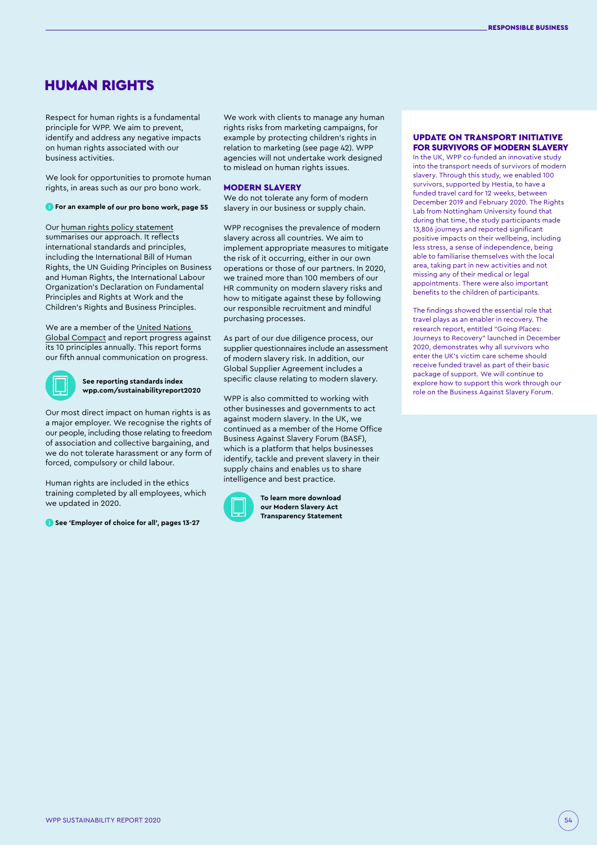### HUMAN RIGHTS

Respect for human rights is a fundamental principle for WPP. We aim to prevent, identify and address any negative impacts on human rights associated with our business activities.

We look for opportunities to promote human rights, in areas such as our pro bono work.

#### **For an example of our pro bono work, page 55**

Our [human rights policy statement](http://www.wpp.com/-/media/project/wpp/files/sustainability/wpp-human-rights-policy-statement.pdf?la=en) summarises our approach. It reflects international standards and principles, including the International Bill of Human Rights, the UN Guiding Principles on Business and Human Rights, the International Labour Organization's Declaration on Fundamental Principles and Rights at Work and the Children's Rights and Business Principles.

We are a member of the [United Nations](https://www.unglobalcompact.org/)  [Global Compact](https://www.unglobalcompact.org/) and report progress against its 10 principles annually. This report forms our fifth annual communication on progress.



**See reporting standards index [wpp.com/sustainabilityreport2020](http://wpp.com/sustainabilityreport2020)**

Our most direct impact on human rights is as a major employer. We recognise the rights of our people, including those relating to freedom of association and collective bargaining, and we do not tolerate harassment or any form of forced, compulsory or child labour.

Human rights are included in the ethics training completed by all employees, which we updated in 2020.

**See 'Employer of choice for all', pages 13-27**

We work with clients to manage any human rights risks from marketing campaigns, for example by protecting children's rights in relation to marketing (see page 42). WPP agencies will not undertake work designed to mislead on human rights issues.

#### MODERN SLAVERY

We do not tolerate any form of modern slavery in our business or supply chain.

WPP recognises the prevalence of modern slavery across all countries. We aim to implement appropriate measures to mitigate the risk of it occurring, either in our own operations or those of our partners. In 2020, we trained more than 100 members of our HR community on modern slavery risks and how to mitigate against these by following our responsible recruitment and mindful purchasing processes.

As part of our due diligence process, our supplier questionnaires include an assessment of modern slavery risk. In addition, our Global Supplier Agreement includes a specific clause relating to modern slavery.

WPP is also committed to working with other businesses and governments to act against modern slavery. In the UK, we continued as a member of the Home Office Business Against Slavery Forum (BASF), which is a platform that helps businesses identify, tackle and prevent slavery in their supply chains and enables us to share intelligence and best practice.



**[To learn more download](https://www.wpp.com/-/media/project/wpp/files/about/corporate-governance/wpp-modern-slavery-act-statement-2019-signed.pdf?la=en)  [our Modern Slavery Act](https://www.wpp.com/-/media/project/wpp/files/about/corporate-governance/wpp-modern-slavery-act-statement-2019-signed.pdf?la=en)  [Transparency Statement](https://www.wpp.com/-/media/project/wpp/files/about/corporate-governance/wpp-modern-slavery-act-statement-2019-signed.pdf?la=en)**

#### UPDATE ON TRANSPORT INITIATIVE FOR SURVIVORS OF MODERN SLAVERY

In the UK, WPP co-funded an innovative study into the transport needs of survivors of modern slavery. Through this study, we enabled 100 survivors, supported by Hestia, to have a funded travel card for 12 weeks, between December 2019 and February 2020. The Rights Lab from Nottingham University found that during that time, the study participants made 13,806 journeys and reported significant positive impacts on their wellbeing, including less stress, a sense of independence, being able to familiarise themselves with the local area, taking part in new activities and not missing any of their medical or legal appointments. There were also important benefits to the children of participants.

The findings showed the essential role that travel plays as an enabler in recovery. The research report, entitled "Going Places: Journeys to Recovery" launched in December 2020, demonstrates why all survivors who enter the UK's victim care scheme should receive funded travel as part of their basic package of support. We will continue to explore how to support this work through our role on the Business Against Slavery Forum.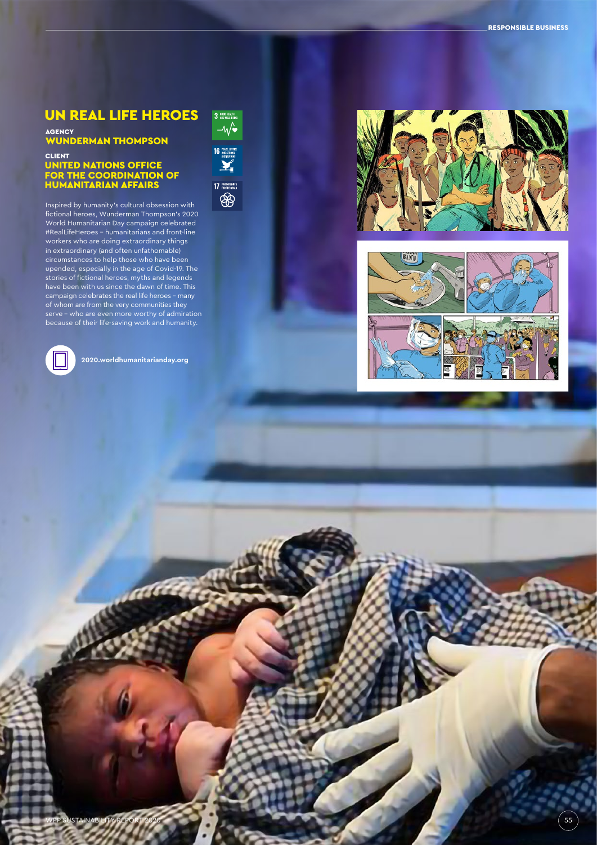### UN REAL LIFE HEROES

## <sub>AGENCY</sub><br>WUNDERMAN THOMPSON

#### CLIENT UNITED NATIONS OFFICE FOR THE COORDINATION OF HUMANITARIAN AFFAIRS

Inspired by humanity's cultural obsession with fictional heroes, Wunderman Thompson's 2020 World Humanitarian Day campaign celebrated #RealLifeHeroes - humanitarians and front-line workers who are doing extraordinary things in extraordinary (and often unfathomable) circumstances to help those who have been upended, especially in the age of Covid-19. The stories of fictional heroes, myths and legends have been with us since the dawn of time. This campaign celebrates the real life heroes – many of whom are from the very communities they serve – who are even more worthy of admiration because of their life-saving work and humanity.



**<2020.worldhumanitarianday.org>**

refer



3 AND MEALTH

WPP SUSTAINABILITY REPORT 2020 **1999 12:00 SEP SUSTAINABILITY REPORT 2020** 155



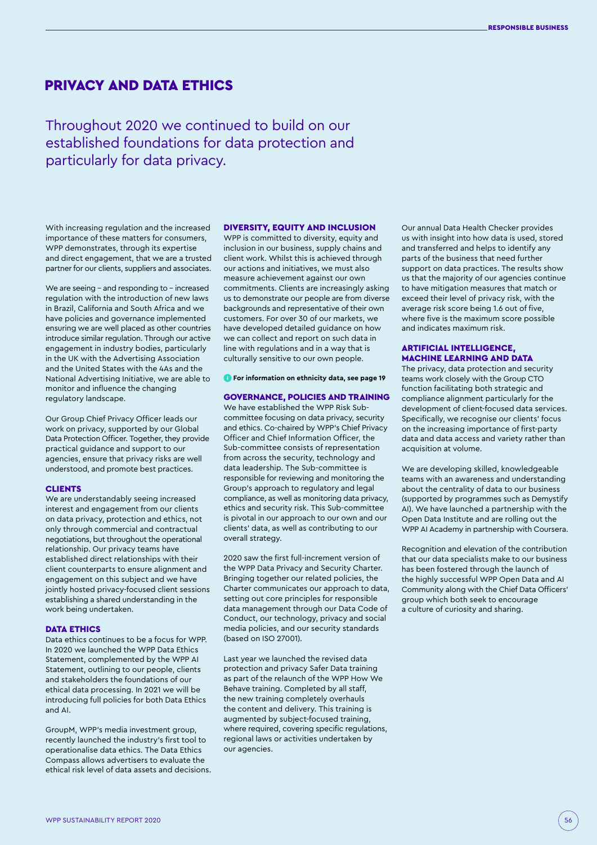### PRIVACY AND DATA ETHICS

Throughout 2020 we continued to build on our established foundations for data protection and particularly for data privacy.

With increasing regulation and the increased importance of these matters for consumers, WPP demonstrates, through its expertise and direct engagement, that we are a trusted partner for our clients, suppliers and associates.

We are seeing - and responding to - increased regulation with the introduction of new laws in Brazil, California and South Africa and we have policies and governance implemented ensuring we are well placed as other countries introduce similar regulation. Through our active engagement in industry bodies, particularly in the UK with the Advertising Association and the United States with the 4As and the National Advertising Initiative, we are able to monitor and influence the changing regulatory landscape.

Our Group Chief Privacy Officer leads our work on privacy, supported by our Global Data Protection Officer. Together, they provide practical guidance and support to our agencies, ensure that privacy risks are well understood, and promote best practices.

#### CLIENTS

We are understandably seeing increased interest and engagement from our clients on data privacy, protection and ethics, not only through commercial and contractual negotiations, but throughout the operational relationship. Our privacy teams have established direct relationships with their client counterparts to ensure alignment and engagement on this subject and we have jointly hosted privacy-focused client sessions establishing a shared understanding in the work being undertaken.

#### DATA ETHICS

Data ethics continues to be a focus for WPP. In 2020 we launched the WPP Data Ethics Statement, complemented by the WPP AI Statement, outlining to our people, clients and stakeholders the foundations of our ethical data processing. In 2021 we will be introducing full policies for both Data Ethics and AI.

GroupM, WPP's media investment group, recently launched the industry's first tool to operationalise data ethics. The Data Ethics Compass allows advertisers to evaluate the ethical risk level of data assets and decisions.

#### DIVERSITY, EQUITY AND INCLUSION

WPP is committed to diversity, equity and inclusion in our business, supply chains and client work. Whilst this is achieved through our actions and initiatives, we must also measure achievement against our own commitments. Clients are increasingly asking us to demonstrate our people are from diverse backgrounds and representative of their own customers. For over 30 of our markets, we have developed detailed guidance on how we can collect and report on such data in line with regulations and in a way that is culturally sensitive to our own people.

#### **For information on ethnicity data, see page 19**

#### GOVERNANCE, POLICIES AND TRAINING

We have established the WPP Risk Subcommittee focusing on data privacy, security and ethics. Co-chaired by WPP's Chief Privacy Officer and Chief Information Officer, the Sub-committee consists of representation from across the security, technology and data leadership. The Sub-committee is responsible for reviewing and monitoring the Group's approach to regulatory and legal compliance, as well as monitoring data privacy, ethics and security risk. This Sub-committee is pivotal in our approach to our own and our clients' data, as well as contributing to our overall strategy.

2020 saw the first full-increment version of the WPP Data Privacy and Security Charter. Bringing together our related policies, the Charter communicates our approach to data, setting out core principles for responsible data management through our Data Code of Conduct, our technology, privacy and social media policies, and our security standards (based on ISO 27001).

Last year we launched the revised data protection and privacy Safer Data training as part of the relaunch of the WPP How We Behave training. Completed by all staff, the new training completely overhauls the content and delivery. This training is augmented by subject-focused training, where required, covering specific regulations, regional laws or activities undertaken by our agencies.

Our annual Data Health Checker provides us with insight into how data is used, stored and transferred and helps to identify any parts of the business that need further support on data practices. The results show us that the majority of our agencies continue to have mitigation measures that match or exceed their level of privacy risk, with the average risk score being 1.6 out of five, where five is the maximum score possible and indicates maximum risk.

#### ARTIFICIAL INTELLIGENCE, MACHINE LEARNING AND DATA

The privacy, data protection and security teams work closely with the Group CTO function facilitating both strategic and compliance alignment particularly for the development of client-focused data services. Specifically, we recognise our clients' focus on the increasing importance of first-party data and data access and variety rather than acquisition at volume.

We are developing skilled, knowledgeable teams with an awareness and understanding about the centrality of data to our business (supported by programmes such as Demystify AI). We have launched a partnership with the Open Data Institute and are rolling out the WPP AI Academy in partnership with Coursera.

Recognition and elevation of the contribution that our data specialists make to our business has been fostered through the launch of the highly successful WPP Open Data and AI Community along with the Chief Data Officers' group which both seek to encourage a culture of curiosity and sharing.